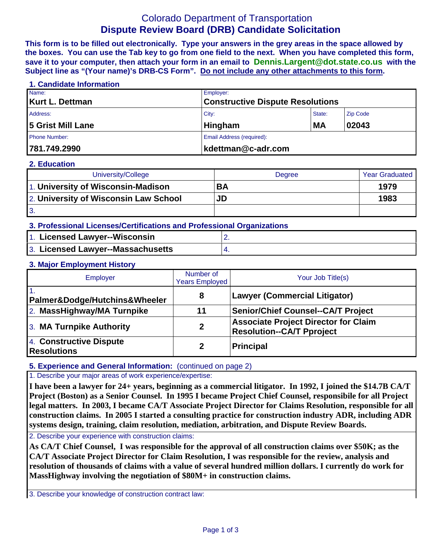# Colorado Department of Transportation **Dispute Review Board (DRB) Candidate Solicitation**

**This form is to be filled out electronically. Type your answers in the grey areas in the space allowed by the boxes. You can use the Tab key to go from one field to the next. When you have completed this form, save it to your computer, then attach your form in an email to Dennis.Largent@dot.state.co.us with the Subject line as "(Your name)'s DRB-CS Form". Do not include any other attachments to this form.**

## **1. Candidate Information**  Name: Employer: **Kurt L. Dettman Constructive Dispute Resolutions**  Address: Zip Code (2008) 2014 12:30 No. 2014 2015 2016 2017 2018 2019 2020 2021 2021 2022 2020 2020 2021 2021 20 5 Grist Mill Lane **Hingham** MA 02043 Phone Number: **Email Address (required): Email Address (required): 781.749.2990 kdettman@c-adr.com**

#### **2. Education**

| University/College                    | <b>Degree</b> | <b>Year Graduated</b> |
|---------------------------------------|---------------|-----------------------|
| 1. University of Wisconsin-Madison    | <b>BA</b>     | 1979                  |
| 2. University of Wisconsin Law School | JD            | 1983                  |
| 3.                                    |               |                       |

| 3. Professional Licenses/Certifications and Professional Organizations |  |  |  |  |
|------------------------------------------------------------------------|--|--|--|--|
| 1. Licensed Lawyer--Wisconsin                                          |  |  |  |  |
| 3. Licensed Lawyer--Massachusetts                                      |  |  |  |  |

### **3. Major Employment History**

| Employer                                      | Number of<br><b>Years Employed</b> | Your Job Title(s)                                                               |  |
|-----------------------------------------------|------------------------------------|---------------------------------------------------------------------------------|--|
| Palmer&Dodge/Hutchins&Wheeler                 | 8                                  | <b>Lawyer (Commercial Litigator)</b>                                            |  |
| 2. MassHighway/MA Turnpike                    | 11                                 | <b>Senior/Chief Counsel--CA/T Project</b>                                       |  |
| 3. MA Turnpike Authority                      | $\mathbf{2}$                       | <b>Associate Project Director for Claim</b><br><b>Resolution--CA/T Pproject</b> |  |
| 4. Constructive Dispute<br><b>Resolutions</b> | 2                                  | Principal                                                                       |  |

### **5. Experience and General Information:** (continued on page 2)

1. Describe your major areas of work experience/expertise:

**I have been a lawyer for 24+ years, beginning as a commercial litigator. In 1992, I joined the \$14.7B CA/T Project (Boston) as a Senior Counsel. In 1995 I became Project Chief Counsel, responsibile for all Project legal matters. In 2003, I became CA/T Associate Project Director for Claims Resolution, responsible for all construction claims. In 2005 I started a consulting practice for construction industry ADR, including ADR systems design, training, claim resolution, mediation, arbitration, and Dispute Review Boards.**

2. Describe your experience with construction claims:

**As CA/T Chief Counsel, I was responsible for the approval of all construction claims over \$50K; as the CA/T Associate Project Director for Claim Resolution, I was responsible for the review, analysis and resolution of thousands of claims with a value of several hundred million dollars. I currently do work for MassHighway involving the negotiation of \$80M+ in construction claims.**

3. Describe your knowledge of construction contract law: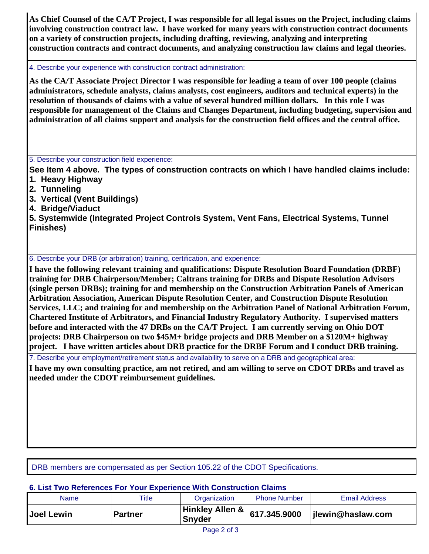**As Chief Counsel of the CA/T Project, I was responsible for all legal issues on the Project, including claims involving construction contract law. I have worked for many years with construction contract documents on a variety of construction projects, including drafting, reviewing, analyzing and interpreting construction contracts and contract documents, and analyzing construction law claims and legal theories.**

4. Describe your experience with construction contract administration:

**As the CA/T Associate Project Director I was responsible for leading a team of over 100 people (claims administrators, schedule analysts, claims analysts, cost engineers, auditors and technical experts) in the resolution of thousands of claims with a value of several hundred million dollars. In this role I was responsible for management of the Claims and Changes Department, including budgeting, supervision and administration of all claims support and analysis for the construction field offices and the central office.** 

5. Describe your construction field experience:

**See Item 4 above. The types of construction contracts on which I have handled claims include:** 

- **1. Heavy Highway**
- **2. Tunneling**
- **3. Vertical (Vent Buildings)**
- **4. Bridge/Viaduct**

**5. Systemwide (Integrated Project Controls System, Vent Fans, Electrical Systems, Tunnel Finishes)** 

6. Describe your DRB (or arbitration) training, certification, and experience:

**I have the following relevant training and qualifications: Dispute Resolution Board Foundation (DRBF) training for DRB Chairperson/Member; Caltrans training for DRBs and Dispute Resolution Advisors (single person DRBs); training for and membership on the Construction Arbitration Panels of American Arbitration Association, American Dispute Resolution Center, and Construction Dispute Resolution Services, LLC; and training for and membership on the Arbitration Panel of National Arbitration Forum, Chartered Institute of Arbitrators, and Financial Industry Regulatory Authority. I supervised matters before and interacted with the 47 DRBs on the CA/T Project. I am currently serving on Ohio DOT projects: DRB Chairperson on two \$45M+ bridge projects and DRB Member on a \$120M+ highway project. I have written articles about DRB practice for the DRBF Forum and I conduct DRB training.** 

7. Describe your employment/retirement status and availability to serve on a DRB and geographical area:

**I have my own consulting practice, am not retired, and am willing to serve on CDOT DRBs and travel as needed under the CDOT reimbursement guidelines.**

DRB members are compensated as per Section 105.22 of the CDOT Specifications.

### **6. List Two References For Your Experience With Construction Claims**

| Name              | Title          | Organization                                    | <b>Phone Number</b> | <b>Email Address</b> |
|-------------------|----------------|-------------------------------------------------|---------------------|----------------------|
| <b>Joel Lewin</b> | <b>Partner</b> | Hinkley Allen & 617.345.9000 lilewing<br>Snyder |                     | jlewin@haslaw.com    |